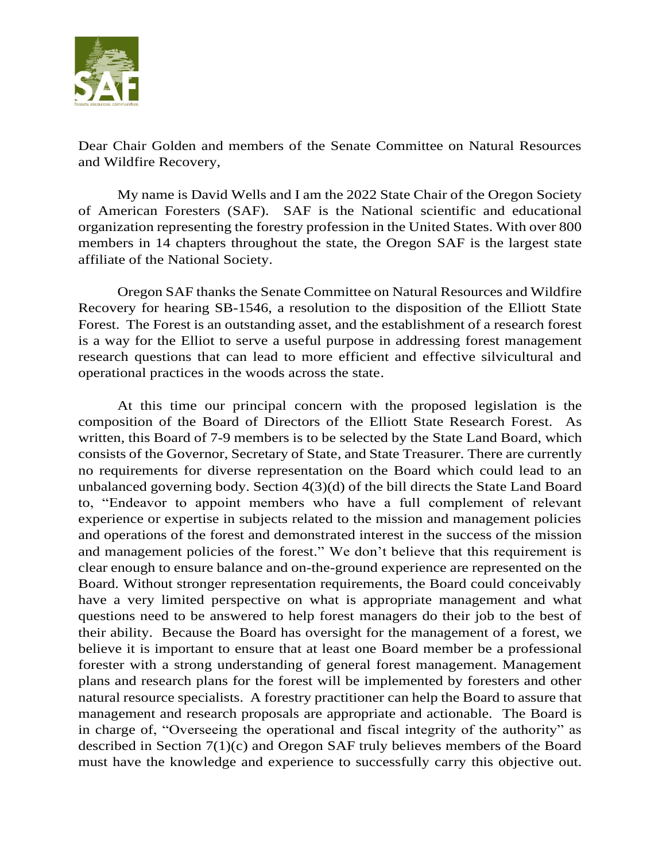

Dear Chair Golden and members of the Senate Committee on Natural Resources and Wildfire Recovery,

My name is David Wells and I am the 2022 State Chair of the Oregon Society of American Foresters (SAF). SAF is the National scientific and educational organization representing the forestry profession in the United States. With over 800 members in 14 chapters throughout the state, the Oregon SAF is the largest state affiliate of the National Society.

Oregon SAF thanks the Senate Committee on Natural Resources and Wildfire Recovery for hearing SB-1546, a resolution to the disposition of the Elliott State Forest. The Forest is an outstanding asset, and the establishment of a research forest is a way for the Elliot to serve a useful purpose in addressing forest management research questions that can lead to more efficient and effective silvicultural and operational practices in the woods across the state.

At this time our principal concern with the proposed legislation is the composition of the Board of Directors of the Elliott State Research Forest. As written, this Board of 7-9 members is to be selected by the State Land Board, which consists of the Governor, Secretary of State, and State Treasurer. There are currently no requirements for diverse representation on the Board which could lead to an unbalanced governing body. Section 4(3)(d) of the bill directs the State Land Board to, "Endeavor to appoint members who have a full complement of relevant experience or expertise in subjects related to the mission and management policies and operations of the forest and demonstrated interest in the success of the mission and management policies of the forest." We don't believe that this requirement is clear enough to ensure balance and on-the-ground experience are represented on the Board. Without stronger representation requirements, the Board could conceivably have a very limited perspective on what is appropriate management and what questions need to be answered to help forest managers do their job to the best of their ability. Because the Board has oversight for the management of a forest, we believe it is important to ensure that at least one Board member be a professional forester with a strong understanding of general forest management. Management plans and research plans for the forest will be implemented by foresters and other natural resource specialists. A forestry practitioner can help the Board to assure that management and research proposals are appropriate and actionable. The Board is in charge of, "Overseeing the operational and fiscal integrity of the authority" as described in Section 7(1)(c) and Oregon SAF truly believes members of the Board must have the knowledge and experience to successfully carry this objective out.